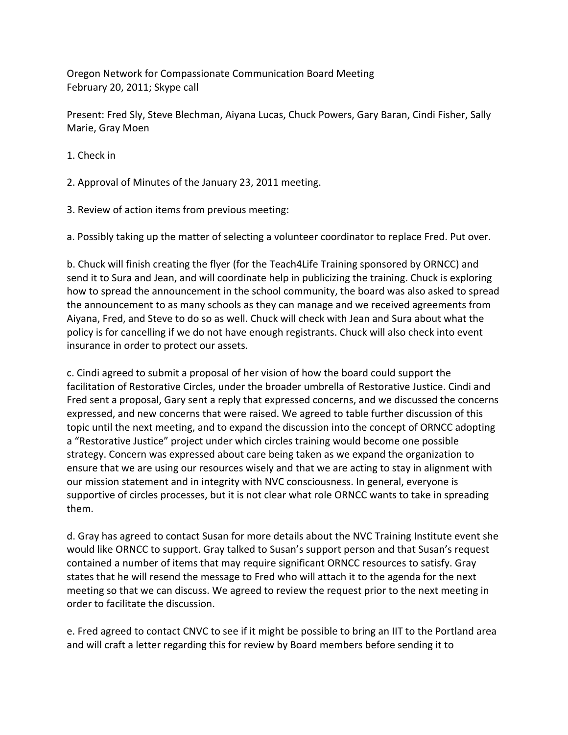Oregon Network for Compassionate Communication Board Meeting February 20, 2011; Skype call

Present: Fred Sly, Steve Blechman, Aiyana Lucas, Chuck Powers, Gary Baran, Cindi Fisher, Sally Marie, Gray Moen

- 1. Check in
- 2. Approval of Minutes of the January 23, 2011 meeting.
- 3. Review of action items from previous meeting:

a. Possibly taking up the matter of selecting a volunteer coordinator to replace Fred. Put over.

b. Chuck will finish creating the flyer (for the Teach4Life Training sponsored by ORNCC) and send it to Sura and Jean, and will coordinate help in publicizing the training. Chuck is exploring how to spread the announcement in the school community, the board was also asked to spread the announcement to as many schools as they can manage and we received agreements from Aiyana, Fred, and Steve to do so as well. Chuck will check with Jean and Sura about what the policy is for cancelling if we do not have enough registrants. Chuck will also check into event insurance in order to protect our assets.

c. Cindi agreed to submit a proposal of her vision of how the board could support the facilitation of Restorative Circles, under the broader umbrella of Restorative Justice. Cindi and Fred sent a proposal, Gary sent a reply that expressed concerns, and we discussed the concerns expressed, and new concerns that were raised. We agreed to table further discussion of this topic until the next meeting, and to expand the discussion into the concept of ORNCC adopting a "Restorative Justice" project under which circles training would become one possible strategy. Concern was expressed about care being taken as we expand the organization to ensure that we are using our resources wisely and that we are acting to stay in alignment with our mission statement and in integrity with NVC consciousness. In general, everyone is supportive of circles processes, but it is not clear what role ORNCC wants to take in spreading them.

d. Gray has agreed to contact Susan for more details about the NVC Training Institute event she would like ORNCC to support. Gray talked to Susan's support person and that Susan's request contained a number of items that may require significant ORNCC resources to satisfy. Gray states that he will resend the message to Fred who will attach it to the agenda for the next meeting so that we can discuss. We agreed to review the request prior to the next meeting in order to facilitate the discussion.

e. Fred agreed to contact CNVC to see if it might be possible to bring an IIT to the Portland area and will craft a letter regarding this for review by Board members before sending it to